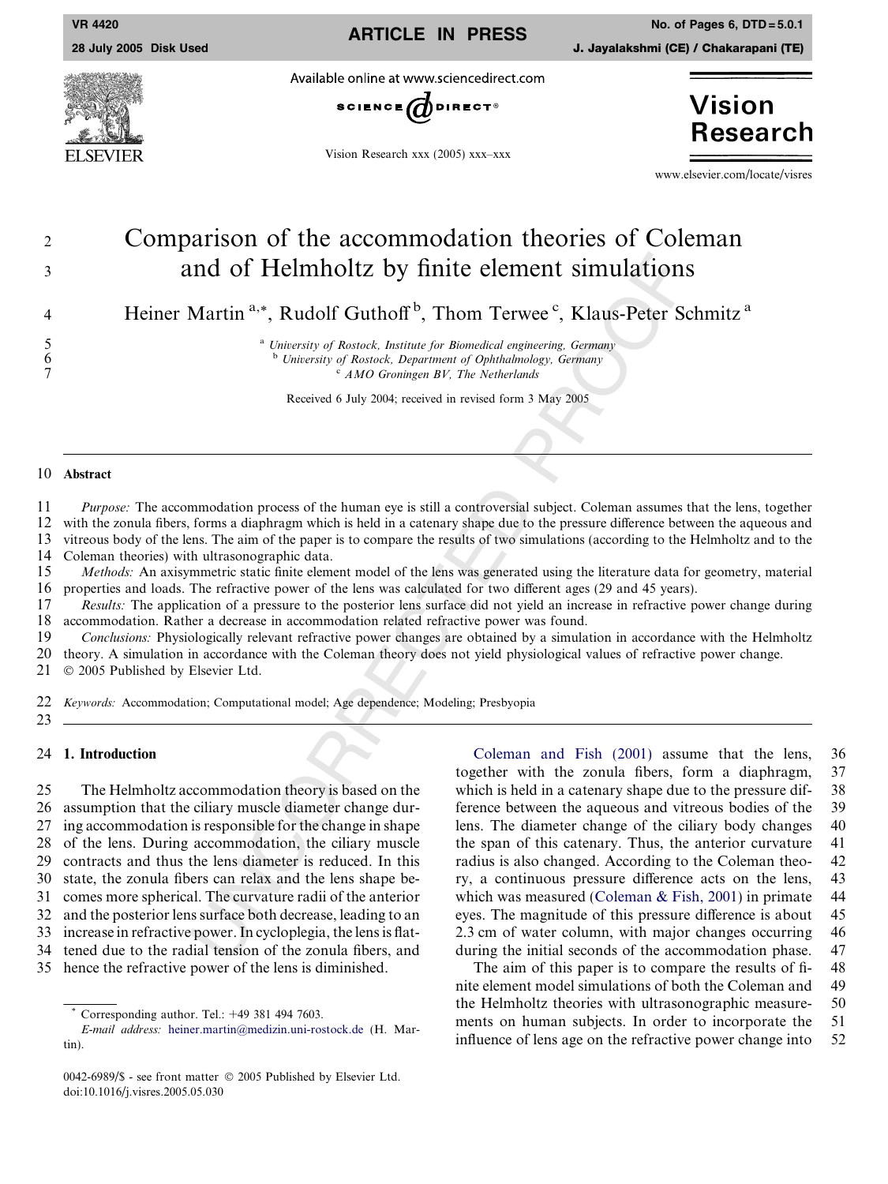ARTICLE IN PRESS

VR 4420 No. of Pages 6, DTD = 5.0.1

Available online at www.sciencedirect.com



Vision Research xxx (2005) xxx–xxx

**Vision Research** 

www.elsevier.com/locate/visres

# <sup>2</sup> Comparison of the accommodation theories of Coleman <sup>3</sup> and of Helmholtz by finite element simulations

4 Heiner Martin<sup>a,\*</sup>, Rudolf Guthoff<sup>b</sup>, Thom Terwee<sup>c</sup>, Klaus-Peter Schmitz<sup>a</sup>

<sup>a</sup> University of Rostock, Institute for Biomedical engineering, Germany <sup>b</sup> University of Rostock, Department of Ophthalmology, Germany

 $C$  AMO Groningen BV, The Netherlands

Received 6 July 2004; received in revised form 3 May 2005

#### 10 Abstract

5

6

7

11 Purpose: The accommodation process of the human eye is still a controversial subject. Coleman assumes that the lens, together 12 with the zonula fibers, forms a diaphragm which is held in a catenary shape due to the pressure difference between the aqueous and 13 vitreous body of the lens. The aim of the paper is to compare the results of two simulations (according to the Helmholtz and to the

14 Coleman theories) with ultrasonographic data.

15 Methods: An axisymmetric static finite element model of the lens was generated using the literature data for geometry, material 16 properties and loads. The refractive power of the lens was calculated for two different ages (29 and 45 years).

17 Results: The application of a pressure to the posterior lens surface did not yield an increase in refractive power change during 18 accommodation. Rather a decrease in accommodation related refractive power was found.<br>19 Conclusions: Physiologically relevant refractive power changes are obtained by a simular

Conclusions: Physiologically relevant refractive power changes are obtained by a simulation in accordance with the Helmholtz

20 theory. A simulation in accordance with the Coleman theory does not yield physiological values of refractive power change.

21 2005 Published by Elsevier Ltd.

22 *Keywords:* Accommodation; Computational model; Age dependence; Modeling; Presbyopia

23

## 24 1. Introduction

25 The Helmholtz accommodation theory is based on the 26 assumption that the ciliary muscle diameter change dur-27 ing accommodation is responsible for the change in shape 28 of the lens. During accommodation, the ciliary muscle 29 contracts and thus the lens diameter is reduced. In this 30 state, the zonula fibers can relax and the lens shape be-31 comes more spherical. The curvature radii of the anterior 32 and the posterior lens surface both decrease, leading to an 33 increase in refractive power. In cycloplegia, the lens is flat-34 tened due to the radial tension of the zonula fibers, and 35 hence the refractive power of the lens is diminished.

In the Column Records of Reduced Barriers (Edition Column Records of Restock, *Institute Germenti engineering Germany*<br>
<sup>a</sup> *Unitersity of Restock, Institute for Remodelal engineering Germany*<br>
<sup>a</sup> *Unitersity of Restock,* [Coleman and Fish \(2001\)](#page-5-0) assume that the lens, 36 together with the zonula fibers, form a diaphragm, 37 which is held in a catenary shape due to the pressure dif- 38 ference between the aqueous and vitreous bodies of the 39 lens. The diameter change of the ciliary body changes 40 the span of this catenary. Thus, the anterior curvature 41 radius is also changed. According to the Coleman theo- 42 ry, a continuous pressure difference acts on the lens, 43 which was measured ([Coleman & Fish, 2001\)](#page-5-0) in primate 44 eyes. The magnitude of this pressure difference is about 45 2.3 cm of water column, with major changes occurring 46 during the initial seconds of the accommodation phase. 47

The aim of this paper is to compare the results of fi- 48 nite element model simulations of both the Coleman and 49 the Helmholtz theories with ultrasonographic measure- 50 ments on human subjects. In order to incorporate the 51 influence of lens age on the refractive power change into 52

<sup>\*</sup> Corresponding author. Tel.:  $+49$  381 494 7603.<br> *E-mail address*: heiner.martin@medizin.uni-ros<br>
tin).<br>
0042-6989/\$ - see front matter © 2005 Published b<br>
doi:10.1016/j.visres.2005.05.030 E-mail address: [heiner.martin@medizin.uni-rostock.de](mailto:heiner.martin@medizin.uni-rostock.de) (H. Martin).

<sup>0042-6989/\$ -</sup> see front matter 2005 Published by Elsevier Ltd.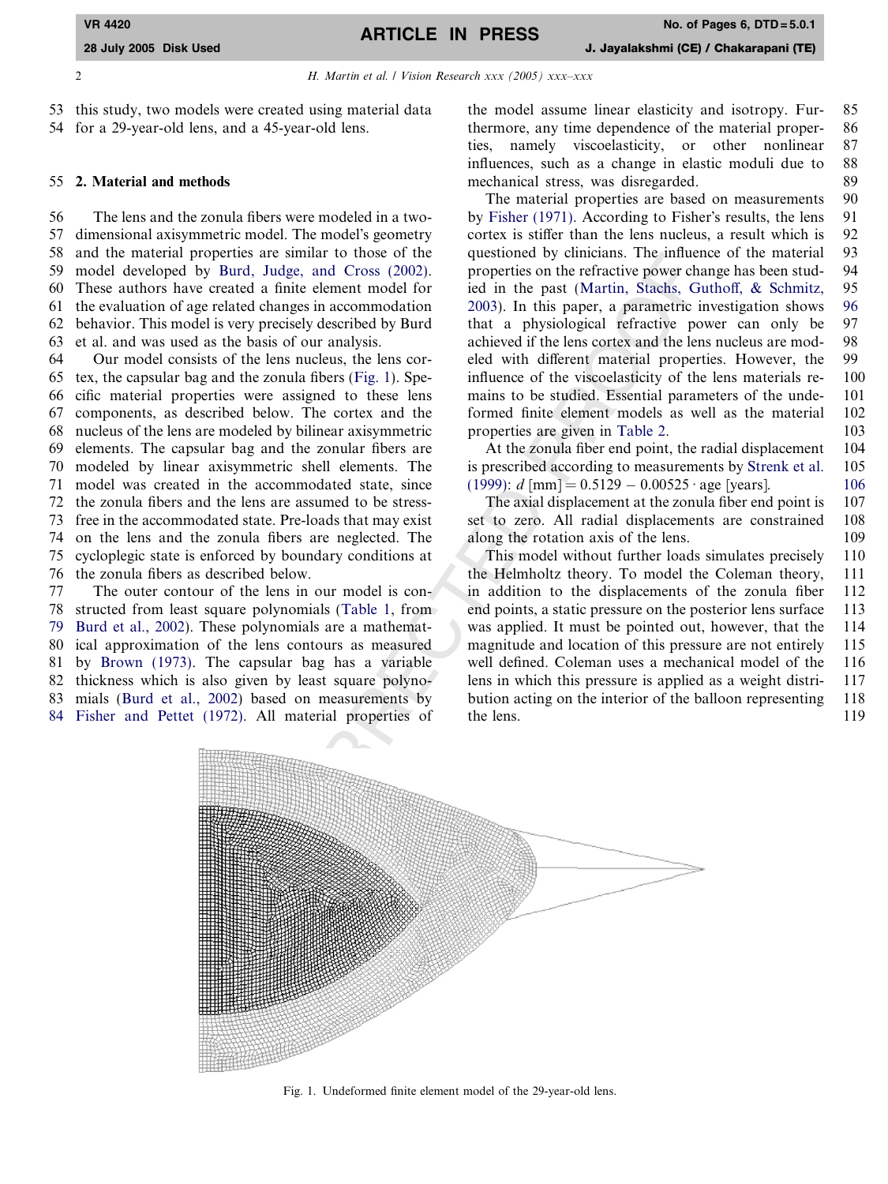2 H. Martin et al. / Vision Research xxx (2005) xxx-xxx

53 this study, two models were created using material data 54 for a 29-year-old lens, and a 45-year-old lens.

#### 55 2. Material and methods

56 The lens and the zonula fibers were modeled in a two-57 dimensional axisymmetric model. The model's geometry 58 and the material properties are similar to those of the 59 model developed by [Burd, Judge, and Cross \(2002\)](#page-5-0) . 60 These authors have created a finite element model for 61 the evaluation of age related changes in accommodation 62 behavior. This model is very precisely described by Burd 63 et al. and was used as the basis of our analysis.

64 Our model consists of the lens nucleus, the lens cor-65 tex, the capsular bag and the zonula fibers (Fig. 1). Spe-66 cific material properties were assigned to these lens 67 components, as described below. The cortex and the 68 nucleus of the lens are modeled by bilinear axisymmetric 69 elements. The capsular bag and the zonular fibers are 70 modeled by linear axisymmetric shell elements. The 71 model was created in the accommodated state, since 72 the zonula fibers and the lens are assumed to be stress-73 free in the accommodated state. Pre-loads that may exist 74 on the lens and the zonula fibers are neglected. The 75 cycloplegic state is enforced by boundary conditions at 76 the zonula fibers as described below.

77 The outer contour of the lens in our model is con-78 structed from least square polynomials (Table 1, from 79 [Burd et al., 2002\)](#page-5-0). These polynomials are a mathemat-80 ical approximation of the lens contours as measured 81 by [Brown \(1973\).](#page-5-0) The capsular bag has a variable 82 thickness which is also given by least square polyno-83 mials ([Burd et al., 2002](#page-5-0)) based on measurements by 84 [Fisher and Pettet \(1972\).](#page-5-0) All material properties of

the model assume linear elasticity and isotropy. Fur- 85 thermore, any time dependence of the material proper- 86 ties, namely viscoelasticity, or other nonlinear 87 influences, such as a change in elastic moduli due to 88 mechanical stress, was disregarded. 89

The material properties are based on measurements 90 by [Fisher \(1971\)](#page-5-0). According to Fisher's results, the lens 91 cortex is stiffer than the lens nucleus, a result which is 92 questioned by clinicians. The influence of the material 93 properties on the refractive power change has been stud- 94 ied in the past ([Martin, Stachs, Guthoff, & Schmitz,](#page-5-0) 95 [2003\)](#page-5-0). In this paper, a parametric investigation shows 96 that a physiological refractive power can only be 97 achieved if the lens cortex and the lens nucleus are mod- 98 eled with different material properties. However, the 99 influence of the viscoelasticity of the lens materials re- 100 mains to be studied. Essential parameters of the unde- 101 formed finite element models as well as the material 102 properties are given in Table 2 . 103

At the zonula fiber end point, the radial displacement 104 is prescribed according to measurements by [Strenk et al.](#page-5-0) 105  $(1999): d$  $(1999): d$  [mm] =  $0.5129 - 0.00525 \cdot \text{age}$  [years]. 106

The axial displacement at the zonula fiber end point is 107 set to zero. All radial displacements are constrained 108 along the rotation axis of the lens. 109

This model without further loads simulates precisely 110 the Helmholtz theory. To model the Coleman theory, 111 in addition to the displacements of the zonula fiber 112 end points, a static pressure on the posterior lens surface 113 was applied. It must be pointed out, however, that the 114 magnitude and location of this pressure are not entirely 115 well defined. Coleman uses a mechanical model of the 116 lens in which this pressure is applied as a weight distri- 117 bution acting on the interior of the balloon representing 118 the lens. 119



Fig. 1. Undeformed finite element model of the 29-year-old lens.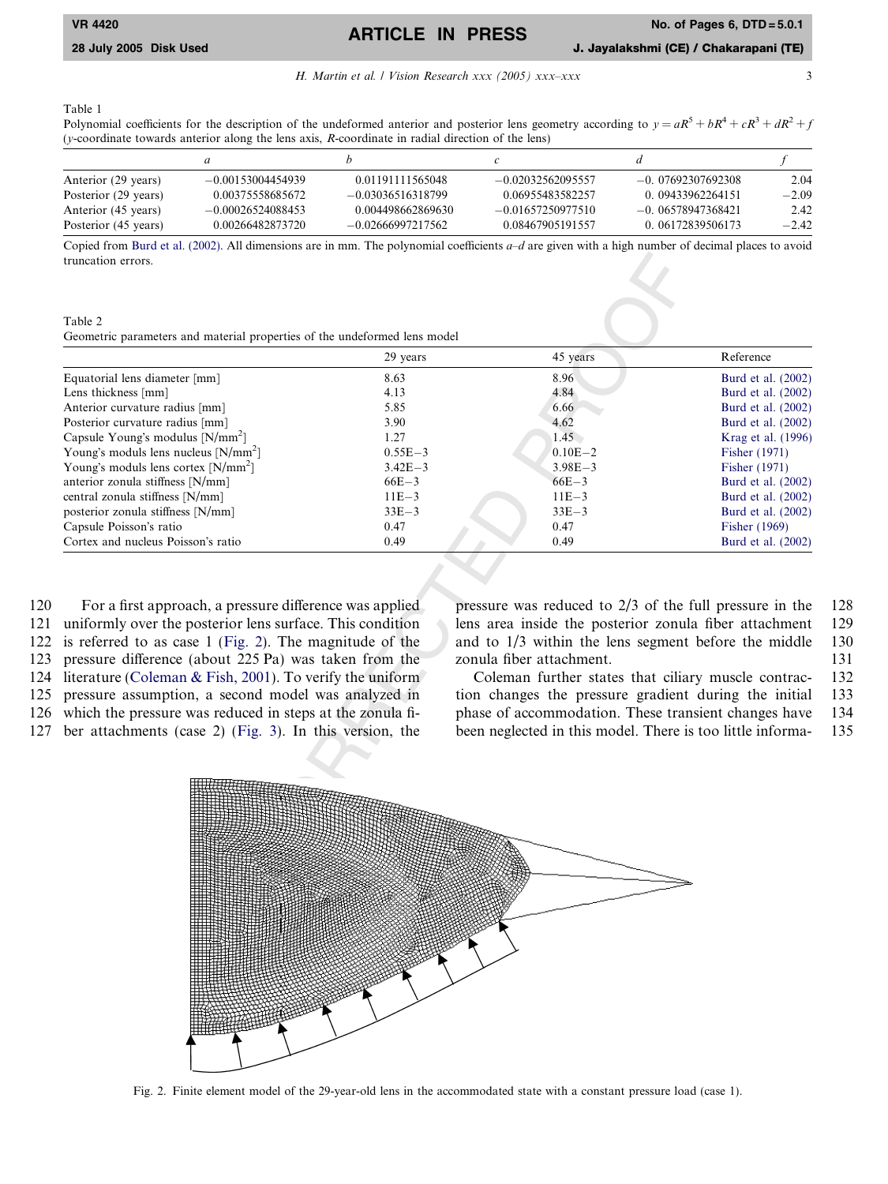ARTICLE IN PRESS

H. Martin et al. / Vision Research xxx (2005) xxx-xxx

<span id="page-2-0"></span>28 July 2005 Disk Used J. Jayalakshmi (CE) / Chakarapani (TE)

Table 1

Polynomial coefficients for the description of the undeformed anterior and posterior lens geometry according to  $y = aR^5 + bR^4 + cR^3 + dR^2 + f$ ( y-coordinate towards anterior along the lens axis, R-coordinate in radial direction of the lens)

|                      | a                   |                     |                     |                     |         |
|----------------------|---------------------|---------------------|---------------------|---------------------|---------|
| Anterior (29 years)  | $-0.00153004454939$ | 0.01191111565048    | $-0.02032562095557$ | $-0.07692307692308$ | 2.04    |
| Posterior (29 years) | 0.00375558685672    | $-0.03036516318799$ | 0.06955483582257    | 0 09433962264151    | $-2.09$ |
| Anterior (45 years)  | $-0.00026524088453$ | 0.004498662869630   | $-0.01657250977510$ | $-0.06578947368421$ | 2.42    |
| Posterior (45 years) | 0.00266482873720    | $-0.02666997217562$ | 0.08467905191557    | 0 06172839506173    | $-2.42$ |

Copied from [Burd et al. \(2002\).](#page-5-0) All dimensions are in mm. The polynomial coefficients  $a-d$  are given with a high number of decimal places to avoid truncation errors.

Table 2 Geometric parameters and material properties of the undeformed lens model

|                                              | 29 years    | 45 years    | Reference          |
|----------------------------------------------|-------------|-------------|--------------------|
| Equatorial lens diameter [mm]                | 8.63        | 8.96        | Burd et al. (2002) |
| Lens thickness [mm]                          | 4.13        | 4.84        | Burd et al. (2002) |
| Anterior curvature radius [mm]               | 5.85        | 6.66        | Burd et al. (2002) |
| Posterior curvature radius [mm]              | 3.90        | 4.62        | Burd et al. (2002) |
| Capsule Young's modulus [N/mm <sup>2</sup> ] | 1.27        | 1.45        | Krag et al. (1996) |
| Young's moduls lens nucleus $[N/mm^2]$       | $0.55E - 3$ | $0.10E - 2$ | Fisher (1971)      |
| Young's moduls lens cortex $[N/mm^2]$        | $3.42E - 3$ | $3.98E - 3$ | Fisher (1971)      |
| anterior zonula stiffness [N/mm]             | $66E-3$     | $66E - 3$   | Burd et al. (2002) |
| central zonula stiffness [N/mm]              | $11E - 3$   | $11E-3$     | Burd et al. (2002) |
| posterior zonula stiffness [N/mm]            | $33E-3$     | $33E-3$     | Burd et al. (2002) |
| Capsule Poisson's ratio                      | 0.47        | 0.47        | Fisher (1969)      |
| Cortex and nucleus Poisson's ratio           | 0.49        | 0.49        | Burd et al. (2002) |

120 For a first approach, a pressure difference was applied 121 uniformly over the posterior lens surface. This condition 122 is referred to as case 1 (Fig. 2). The magnitude of the

123 pressure difference (about 225 Pa) was taken from the

124 literature [\(Coleman & Fish, 2001\)](#page-5-0). To verify the uniform

125 pressure assumption, a second model was analyzed in

126 which the pressure was reduced in steps at the zonula fi-127 ber attachments (case 2) (Fig. 3). In this version, the pressure was reduced to 2/3 of the full pressure in the 128 lens area inside the posterior zonula fiber attachment 129 and to 1/3 within the lens segment before the middle 130 zonula fiber attachment. 131

Coleman further states that ciliary muscle contrac- 132 tion changes the pressure gradient during the initial 133 phase of accommodation. These transient changes have 134 been neglected in this model. There is too little informa- 135



Fig. 2. Finite element model of the 29-year-old lens in the accommodated state with a constant pressure load (case 1).

3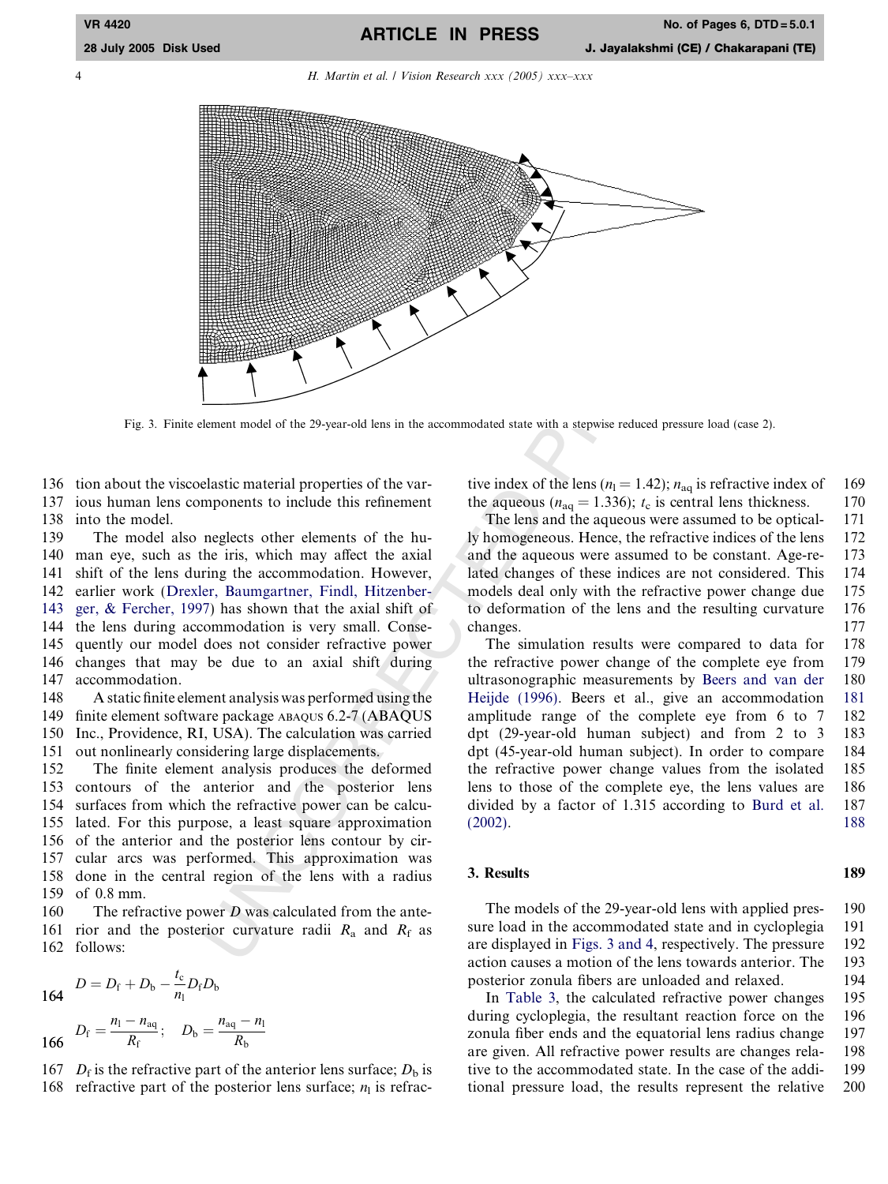<span id="page-3-0"></span>4 H. Martin et al. / Vision Research xxx (2005) xxx–xxx



Fig. 3. Finite element model of the 29-year-old lens in the accommodated state with a stepwise reduced pressure load (case 2).

136 tion about the viscoelastic material properties of the var-137 ious human lens components to include this refinement 138 into the model.

ensuc material properties of the variable this refinement<br>
measure interaction<br>
measure interaction of the accommodation. However, the aqueous<br>
The lens a<br>
reglects other elements of the hu-<br>
The lens a<br>
end the aque of t 139 The model also neglects other elements of the hu-140 man eye, such as the iris, which may affect the axial 141 shift of the lens during the accommodation. However, 142 earlier work [\(Drexler, Baumgartner, Findl, Hitzenber-](#page-5-0)143 [ger, & Fercher, 1997\)](#page-5-0) has shown that the axial shift of 144 the lens during accommodation is very small. Conse-145 quently our model does not consider refractive power 146 changes that may be due to an axial shift during 147 accommodation.

148 A static finite element analysis was performed using the 149 finite element software package ABAQUS 6.2-7 (ABAQUS 150 Inc., Providence, RI, USA). The calculation was carried 151 out nonlinearly considering large displacements.

152 The finite element analysis produces the deformed 153 contours of the anterior and the posterior lens 154 surfaces from which the refractive power can be calcu-155 lated. For this purpose, a least square approximation 156 of the anterior and the posterior lens contour by cir-157 cular arcs was performed. This approximation was 158 done in the central region of the lens with a radius 159 of 0.8 mm.

160 The refractive power *D* was calculated from the ante-161 rior and the posterior curvature radii  $R_a$  and  $R_f$  as 162 follows:

$$
164 \t D = D_{\rm f} + D_{\rm b} - \frac{t_{\rm c}}{n_{\rm l}} D_{\rm f} D_{\rm b}
$$

 $D_{\rm f} = \frac{n_{\rm l} - n_{\rm aq}}{R}$  $\frac{-n_{\text{aq}}}{R_{\text{f}}};\quad D_{\text{b}} = \frac{n_{\text{aq}} - n_{\text{b}}}{R_{\text{b}}}$ 166  $R_f$ ,  $R_b$ 

167  $D_f$  is the refractive part of the anterior lens surface;  $D_b$  is 168 refractive part of the posterior lens surface;  $n_1$  is refractive index of the lens ( $n_1 = 1.42$ );  $n_{aq}$  is refractive index of 169 the aqueous ( $n_{aq} = 1.336$ );  $t_c$  is central lens thickness. 170

The lens and the aqueous were assumed to be optical- 171 ly homogeneous. Hence, the refractive indices of the lens 172 and the aqueous were assumed to be constant. Age-re- 173 lated changes of these indices are not considered. This 174 models deal only with the refractive power change due 175 to deformation of the lens and the resulting curvature 176 changes. 177

The simulation results were compared to data for 178 the refractive power change of the complete eye from 179 ultrasonographic measurements by [Beers and van der](#page-5-0) 180 [Heijde \(1996\)](#page-5-0). Beers et al., give an accommodation 181 amplitude range of the complete eye from 6 to 7 182 dpt (29-year-old human subject) and from 2 to 3 183 dpt (45-year-old human subject). In order to compare 184 the refractive power change values from the isolated 185 lens to those of the complete eye, the lens values are 186 divided by a factor of 1.315 according to [Burd et al.](#page-5-0) 187  $(2002)$ . . 188

### 3. Results 189

The models of the 29-year-old lens with applied pres- 190 sure load in the accommodated state and in cycloplegia 191 are displayed in Figs. 3 and 4, respectively. The pressure 192 action causes a motion of the lens towards anterior. The 193 posterior zonula fibers are unloaded and relaxed. 194

In [Table 3,](#page-4-0) the calculated refractive power changes 195 during cycloplegia, the resultant reaction force on the 196 zonula fiber ends and the equatorial lens radius change 197 are given. All refractive power results are changes rela- 198 tive to the accommodated state. In the case of the addi- 199 tional pressure load, the results represent the relative 200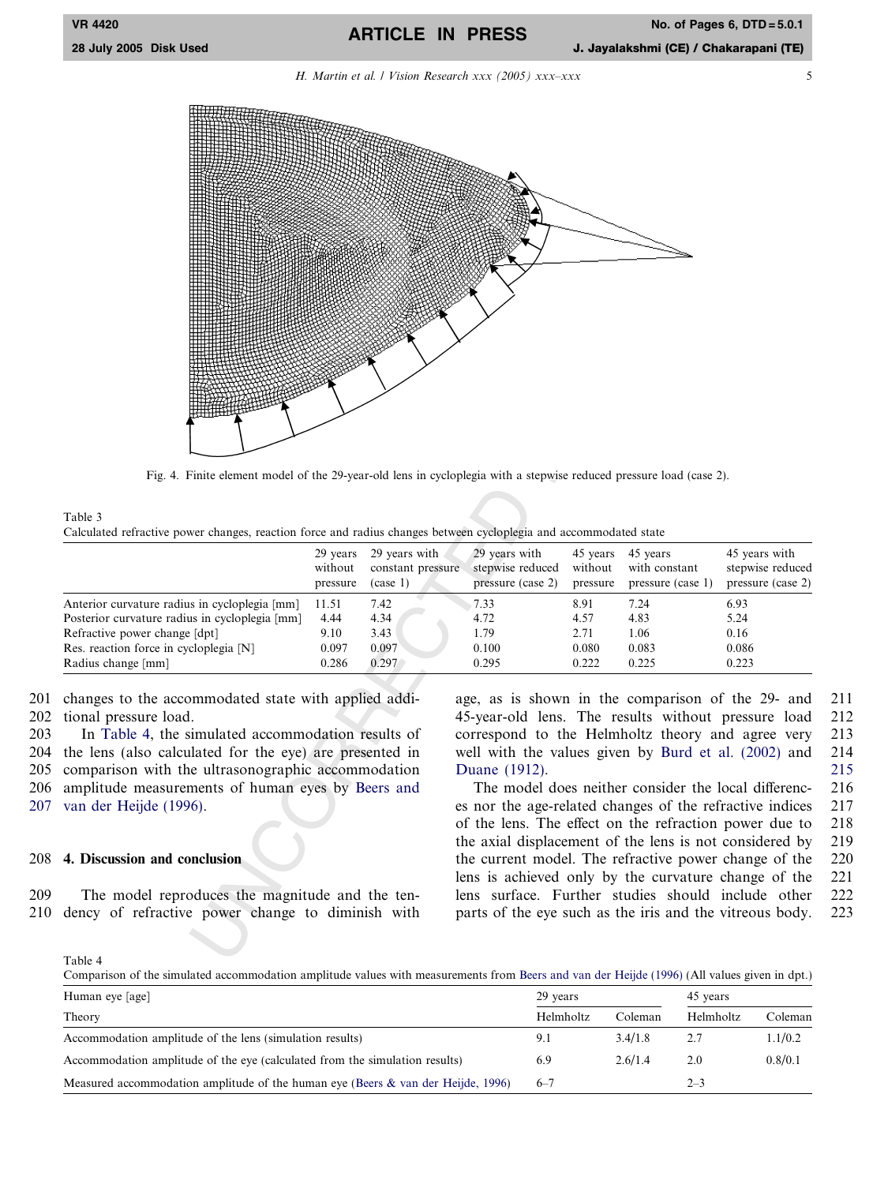## ARTICLE IN PRESS

H. Martin et al. / Vision Research xxx (2005) xxx-xxx

<span id="page-4-0"></span>

Fig. 4. Finite element model of the 29-year-old lens in cycloplegia with a stepwise reduced pressure load (case 2).

| Table 3                                                                                                           |  |
|-------------------------------------------------------------------------------------------------------------------|--|
| Calculated refractive power changes, reaction force and radius changes between cycloplegia and accommodated state |  |

|                                                | 29 years<br>without<br>pressure | 29 years with<br>constant pressure<br>(case 1) | 29 years with<br>stepwise reduced<br>pressure (case 2) | 45 years<br>without<br>pressure | 45 years<br>with constant<br>pressure (case 1) | 45 years with<br>stepwise reduced<br>pressure (case 2) |
|------------------------------------------------|---------------------------------|------------------------------------------------|--------------------------------------------------------|---------------------------------|------------------------------------------------|--------------------------------------------------------|
| Anterior curvature radius in cycloplegia [mm]  | 11.51                           | 7.42                                           | 7.33                                                   | 8.91                            | 7.24                                           | 6.93                                                   |
| Posterior curvature radius in cycloplegia [mm] | 4.44                            | 4.34                                           | 4.72                                                   | 4.57                            | 4.83                                           | 5.24                                                   |
| Refractive power change [dpt]                  | 9.10                            | 3.43                                           | 1.79                                                   | 2.71                            | 1.06                                           | 0.16                                                   |
| Res. reaction force in cycloplegia [N]         | 0.097                           | 0.097                                          | 0.100                                                  | 0.080                           | 0.083                                          | 0.086                                                  |
| Radius change [mm]                             | 0.286                           | 0.297                                          | 0.295                                                  | 0.222                           | 0.225                                          | 0.223                                                  |

201 changes to the accommodated state with applied addi-202 tional pressure load.

203 In Table 4, the simulated accommodation results of 204 the lens (also calculated for the eye) are presented in 205 comparison with the ultrasonographic accommodation 206 amplitude measurements of human eyes by Beers and 207 [van der Heijde \(1996\)](#page-5-0) .

### 208 4. Discussion and conclusion

209 The model reproduces the magnitude and the ten-210 dency of refractive power change to diminish with age, as is shown in the comparison of the 29- and 211 45-year-old lens. The results without pressure load 212 correspond to the Helmholtz theory and agree very 213 well with the values given by [Burd et al. \(2002\)](#page-5-0) and 214 [Duane \(1912\)](#page-5-0) . 215

The model does neither consider the local differenc- 216 es nor the age-related changes of the refractive indices 217 of the lens. The effect on the refraction power due to 218 the axial displacement of the lens is not considered by 219 the current model. The refractive power change of the 220 lens is achieved only by the curvature change of the 221 lens surface. Further studies should include other 222 parts of the eye such as the iris and the vitreous body. 223

Table 4

Comparison of the simulated accommodation amplitude values with measurements from [Beers and van der Heijde \(1996\)](#page-5-0) (All values given in dpt.)

| Human eye [age]                                                                     | 29 years  |         | 45 years  |         |
|-------------------------------------------------------------------------------------|-----------|---------|-----------|---------|
| Theory                                                                              | Helmholtz | Coleman | Helmholtz | Coleman |
| Accommodation amplitude of the lens (simulation results)                            |           | 3.4/1.8 |           | 1.1/0.2 |
| Accommodation amplitude of the eye (calculated from the simulation results)         |           | 2.6/1.4 | 2.0       | 0.8/0.1 |
| Measured accommodation amplitude of the human eye (Beers $\&$ van der Heijde, 1996) | $6 - 7$   |         | $2 - 3$   |         |